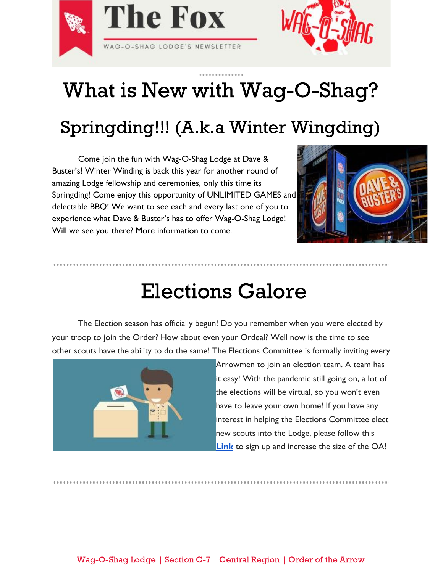



# What is New with Wag-O-Shag?

## Springding!!! (A.k.a Winter Wingding)

Come join the fun with Wag-O-Shag Lodge at Dave & Buster's! Winter Winding is back this year for another round of amazing Lodge fellowship and ceremonies, only this time its Springding! Come enjoy this opportunity of UNLIMITED GAMES and delectable BBQ! We want to see each and every last one of you to experience what Dave & Buster's has to offer Wag-O-Shag Lodge! Will we see you there? More information to come.



#### Elections Galore

The Election season has officially begun! Do you remember when you were elected by your troop to join the Order? How about even your Ordeal? Well now is the time to see other scouts have the ability to do the same! The Elections Committee is formally inviting every



Arrowmen to join an election team. A team has it easy! With the pandemic still going on, a lot of the elections will be virtual, so you won't even have to leave your own home! If you have any interest in helping the Elections Committee elect new scouts into the Lodge, please follow this **[Link](https://forms.gle/nc5rbpoCh7GYXgx97)** to sign up and increase the size of the OA!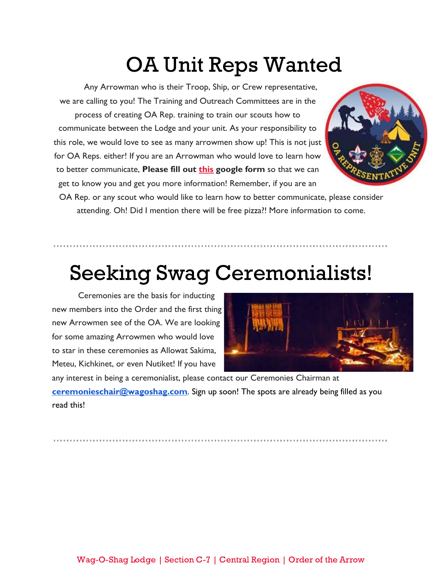## OA Unit Reps Wanted

Any Arrowman who is their Troop, Ship, or Crew representative, we are calling to you! The Training and Outreach Committees are in the process of creating OA Rep. training to train our scouts how to communicate between the Lodge and your unit. As your responsibility to this role, we would love to see as many arrowmen show up! This is not just for OA Reps. either! If you are an Arrowman who would love to learn how to better communicate, **Please fill out [this](https://forms.gle/vrYs5so8YGgH4Cxz6) google form** so that we can get to know you and get you more information! Remember, if you are an



OA Rep. or any scout who would like to learn how to better communicate, please consider attending. Oh! Did I mention there will be free pizza?! More information to come.

## Seeking Swag Ceremonialists!

Ceremonies are the basis for inducting new members into the Order and the first thing new Arrowmen see of the OA. We are looking for some amazing Arrowmen who would love to star in these ceremonies as Allowat Sakima, Meteu, Kichkinet, or even Nutiket! If you have



any interest in being a ceremonialist, please contact our Ceremonies Chairman at **[ceremonieschair@wagoshag.com](mailto:ceremonieschair@wagoshag.com)**. Sign up soon! The spots are already being filled as you read this!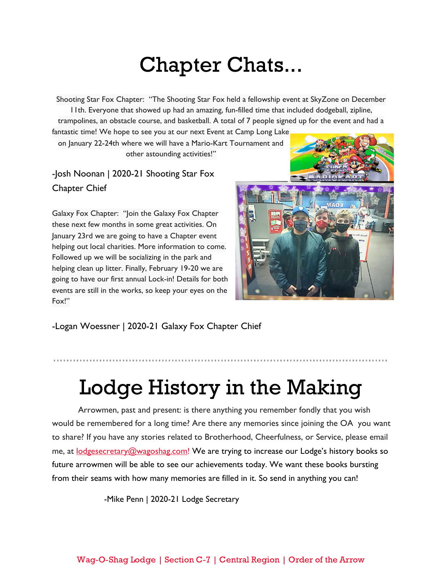## Chapter Chats...

Shooting Star Fox Chapter: "The Shooting Star Fox held a fellowship event at SkyZone on December 11th. Everyone that showed up had an amazing, fun-filled time that included dodgeball, zipline, trampolines, an obstacle course, and basketball. A total of 7 people signed up for the event and had a

fantastic time! We hope to see you at our next Event at Camp Long Lake on January 22-24th where we will have a Mario-Kart Tournament and

other astounding activities!"

-Josh Noonan | 2020-21 Shooting Star Fox Chapter Chief

Galaxy Fox Chapter: "Join the Galaxy Fox Chapter these next few months in some great activities. On January 23rd we are going to have a Chapter event helping out local charities. More information to come. Followed up we will be socializing in the park and helping clean up litter. Finally, February 19-20 we are going to have our first annual Lock-in! Details for both events are still in the works, so keep your eyes on the Fox!"



-Logan Woessner | 2020-21 Galaxy Fox Chapter Chief

## Lodge History in the Making

Arrowmen, past and present: is there anything you remember fondly that you wish would be remembered for a long time? Are there any memories since joining the OA you want to share? If you have any stories related to Brotherhood, Cheerfulness, or Service, please email me, at **[lodgesecretary@wagoshag.com!](mailto:lodgesecretary@wagoshag.com)** We are trying to increase our Lodge's history books so future arrowmen will be able to see our achievements today. We want these books bursting from their seams with how many memories are filled in it. So send in anything you can!

-Mike Penn | 2020-21 Lodge Secretary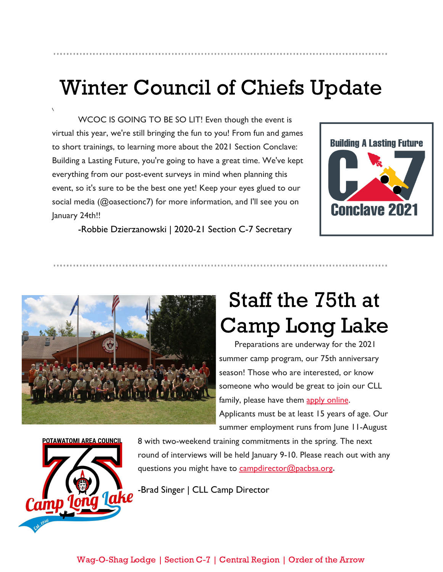## Winter Council of Chiefs Update

WCOC IS GOING TO BE SO LIT! Even though the event is virtual this year, we're still bringing the fun to you! From fun and games to short trainings, to learning more about the 2021 Section Conclave: Building a Lasting Future, you're going to have a great time. We've kept everything from our post-event surveys in mind when planning this event, so it's sure to be the best one yet! Keep your eyes glued to our social media (@oasectionc7) for more information, and I'll see you on January 24th!!



-Robbie Dzierzanowski | 2020-21 Section C-7 Secretary



# Staff the 75th at Camp Long Lake

 Preparations are underway for the 2021 summer camp program, our 75th anniversary season! Those who are interested, or know someone who would be great to join our CLL family, please have them [apply online.](https://docs.google.com/forms/d/e/1FAIpQLSee7UAHGRYlNMBqXUMBXp46XU0g91fWnoDPphLS7uCQf9nn5Q/viewform) Applicants must be at least 15 years of age. Our summer employment runs from June 11-August



 $\lambda$ 

8 with two-weekend training commitments in the spring. The next round of interviews will be held January 9-10. Please reach out with any questions you might have to [campdirector@pacbsa.org](mailto:campdirector@pacbsa.org)**.**

-Brad Singer | CLL Camp Director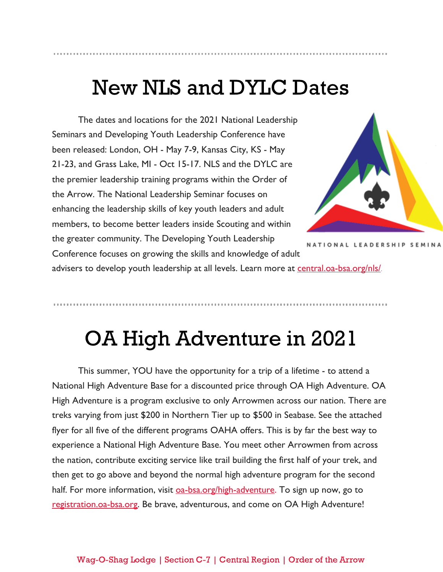### New NLS and DYLC Dates

The dates and locations for the 2021 National Leadership Seminars and Developing Youth Leadership Conference have been released: London, OH - May 7-9, Kansas City, KS - May 21-23, and Grass Lake, MI - Oct 15-17. NLS and the DYLC are the premier leadership training programs within the Order of the Arrow. The National Leadership Seminar focuses on enhancing the leadership skills of key youth leaders and adult members, to become better leaders inside Scouting and within the greater community. The Developing Youth Leadership Conference focuses on growing the skills and knowledge of adult



NATIONAL LEADERSHIP SEMINA

advisers to develop youth leadership at all levels. Learn more at [central.oa-bsa.org/nls/](https://central.oa-bsa.org/nls/).

### OA High Adventure in 2021

This summer, YOU have the opportunity for a trip of a lifetime - to attend a National High Adventure Base for a discounted price through OA High Adventure. OA High Adventure is a program exclusive to only Arrowmen across our nation. There are treks varying from just \$200 in Northern Tier up to \$500 in Seabase. See the attached flyer for all five of the different programs OAHA offers. This is by far the best way to experience a National High Adventure Base. You meet other Arrowmen from across the nation, contribute exciting service like trail building the first half of your trek, and then get to go above and beyond the normal high adventure program for the second half. For more information, visit **0a-bsa.org/high-adventure**. To sign up now, go to [registration.oa-bsa.org](http://registration.oa-bsa.org/). Be brave, adventurous, and come on OA High Adventure!